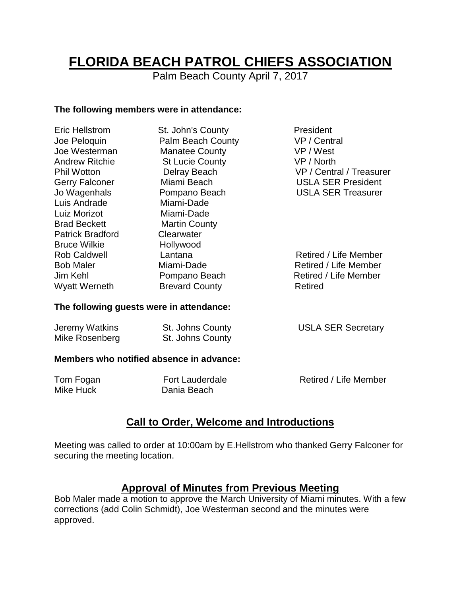# **FLORIDA BEACH PATROL CHIEFS ASSOCIATION**

Palm Beach County April 7, 2017

#### **The following members were in attendance:**

| <b>Eric Hellstrom</b>                    | St. John's County      | President                 |  |
|------------------------------------------|------------------------|---------------------------|--|
| Joe Peloquin                             | Palm Beach County      | VP / Central              |  |
| Joe Westerman                            | <b>Manatee County</b>  | VP / West                 |  |
| <b>Andrew Ritchie</b>                    | <b>St Lucie County</b> | VP / North                |  |
| <b>Phil Wotton</b>                       | Delray Beach           | VP / Central / Treasurer  |  |
| <b>Gerry Falconer</b>                    | Miami Beach            | <b>USLA SER President</b> |  |
| Jo Wagenhals                             | Pompano Beach          | <b>USLA SER Treasurer</b> |  |
| Luis Andrade                             | Miami-Dade             |                           |  |
| Luiz Morizot                             | Miami-Dade             |                           |  |
| <b>Brad Beckett</b>                      | <b>Martin County</b>   |                           |  |
| <b>Patrick Bradford</b>                  | Clearwater             |                           |  |
| <b>Bruce Wilkie</b>                      | Hollywood              |                           |  |
| <b>Rob Caldwell</b>                      | Lantana                | Retired / Life Member     |  |
| <b>Bob Maler</b>                         | Miami-Dade             | Retired / Life Member     |  |
| Jim Kehl                                 | Pompano Beach          | Retired / Life Member     |  |
| <b>Wyatt Werneth</b>                     | <b>Brevard County</b>  | <b>Retired</b>            |  |
| The following guests were in attendance: |                        |                           |  |

#### Jeremy Watkins **St. Johns County St. Johns County USLA SER Secretary** Mike Rosenberg St. Johns County

#### **Members who notified absence in advance:**

| Tom Fogan | <b>Fort Lauderdale</b> | Retired / Life Member |
|-----------|------------------------|-----------------------|
| Mike Huck | Dania Beach            |                       |

## **Call to Order, Welcome and Introductions**

Meeting was called to order at 10:00am by E.Hellstrom who thanked Gerry Falconer for securing the meeting location.

### **Approval of Minutes from Previous Meeting**

Bob Maler made a motion to approve the March University of Miami minutes. With a few corrections (add Colin Schmidt), Joe Westerman second and the minutes were approved.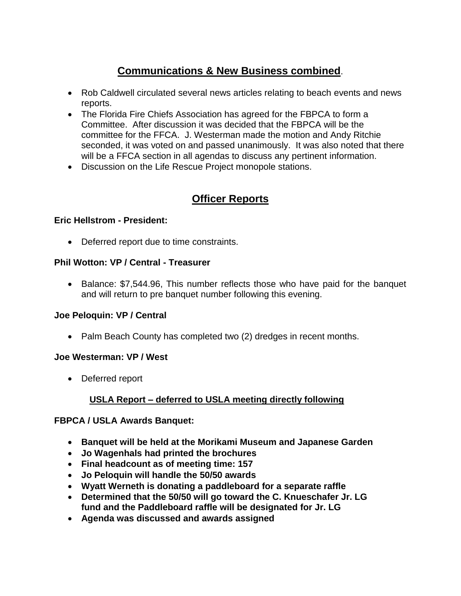# **Communications & New Business combined**.

- Rob Caldwell circulated several news articles relating to beach events and news reports.
- The Florida Fire Chiefs Association has agreed for the FBPCA to form a Committee. After discussion it was decided that the FBPCA will be the committee for the FFCA. J. Westerman made the motion and Andy Ritchie seconded, it was voted on and passed unanimously. It was also noted that there will be a FFCA section in all agendas to discuss any pertinent information.
- Discussion on the Life Rescue Project monopole stations.

## **Officer Reports**

#### **Eric Hellstrom - President:**

Deferred report due to time constraints.

#### **Phil Wotton: VP / Central - Treasurer**

• Balance: \$7,544.96, This number reflects those who have paid for the banquet and will return to pre banquet number following this evening.

#### **Joe Peloquin: VP / Central**

• Palm Beach County has completed two (2) dredges in recent months.

#### **Joe Westerman: VP / West**

Deferred report

#### **USLA Report – deferred to USLA meeting directly following**

#### **FBPCA / USLA Awards Banquet:**

- **Banquet will be held at the Morikami Museum and Japanese Garden**
- **Jo Wagenhals had printed the brochures**
- **Final headcount as of meeting time: 157**
- **Jo Peloquin will handle the 50/50 awards**
- **Wyatt Werneth is donating a paddleboard for a separate raffle**
- **Determined that the 50/50 will go toward the C. Knueschafer Jr. LG fund and the Paddleboard raffle will be designated for Jr. LG**
- **Agenda was discussed and awards assigned**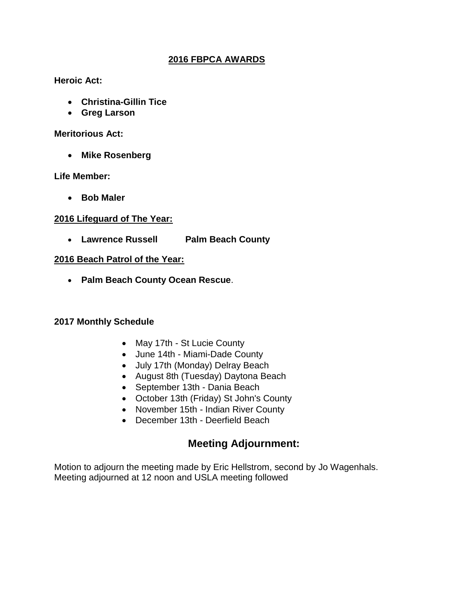#### **2016 FBPCA AWARDS**

#### **Heroic Act:**

- **Christina-Gillin Tice**
- **Greg Larson**

#### **Meritorious Act:**

**Mike Rosenberg**

**Life Member:** 

**Bob Maler**

#### **2016 Lifeguard of The Year:**

**Lawrence Russell Palm Beach County**

#### **2016 Beach Patrol of the Year:**

**Palm Beach County Ocean Rescue**.

#### **2017 Monthly Schedule**

- May 17th St Lucie County
- June 14th Miami-Dade County
- July 17th (Monday) Delray Beach
- August 8th (Tuesday) Daytona Beach
- September 13th Dania Beach
- October 13th (Friday) St John's County
- November 15th Indian River County
- December 13th Deerfield Beach

## **Meeting Adjournment:**

Motion to adjourn the meeting made by Eric Hellstrom, second by Jo Wagenhals. Meeting adjourned at 12 noon and USLA meeting followed